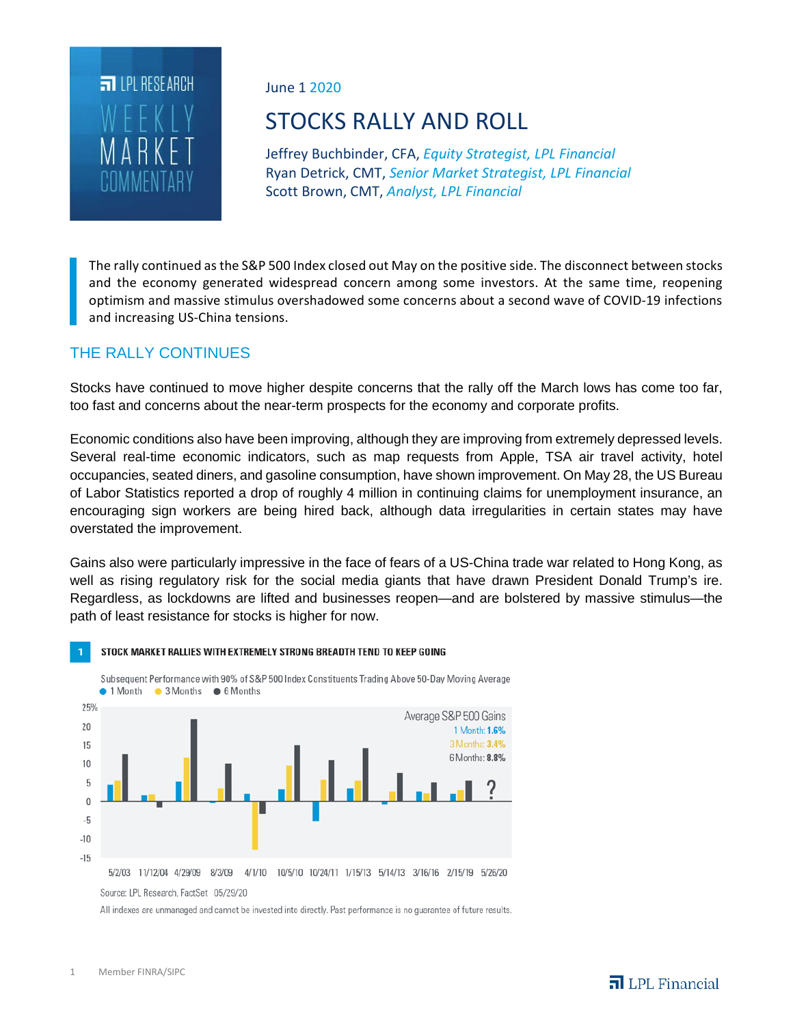

June 1 2020

# STOCKS RALLY AND ROLL

Jeffrey Buchbinder, CFA, *Equity Strategist, LPL Financial* Ryan Detrick, CMT, *Senior Market Strategist, LPL Financial* Scott Brown, CMT, *Analyst, LPL Financial*

The rally continued as the S&P 500 Index closed out May on the positive side. The disconnect between stocks and the economy generated widespread concern among some investors. At the same time, reopening optimism and massive stimulus overshadowed some concerns about a second wave of COVID-19 infections and increasing US-China tensions.

## THE RALLY CONTINUES

Stocks have continued to move higher despite concerns that the rally off the March lows has come too far, too fast and concerns about the near-term prospects for the economy and corporate profits.

Economic conditions also have been improving, although they are improving from extremely depressed levels. Several real-time economic indicators, such as map requests from Apple, TSA air travel activity, hotel occupancies, seated diners, and gasoline consumption, have shown improvement. On May 28, the US Bureau of Labor Statistics reported a drop of roughly 4 million in continuing claims for unemployment insurance, an encouraging sign workers are being hired back, although data irregularities in certain states may have overstated the improvement.

Gains also were particularly impressive in the face of fears of a US-China trade war related to Hong Kong, as well as rising regulatory risk for the social media giants that have drawn President Donald Trump's ire. Regardless, as lockdowns are lifted and businesses reopen—and are bolstered by massive stimulus—the path of least resistance for stocks is higher for now.



STOCK MARKET RALLIES WITH EXTREMELY STRONG BREADTH TEND TO KEEP GOING

Source: LPL Research, FactSet 05/29/20

All indexes are unmanaged and cannot be invested into directly. Past performance is no guarantee of future results.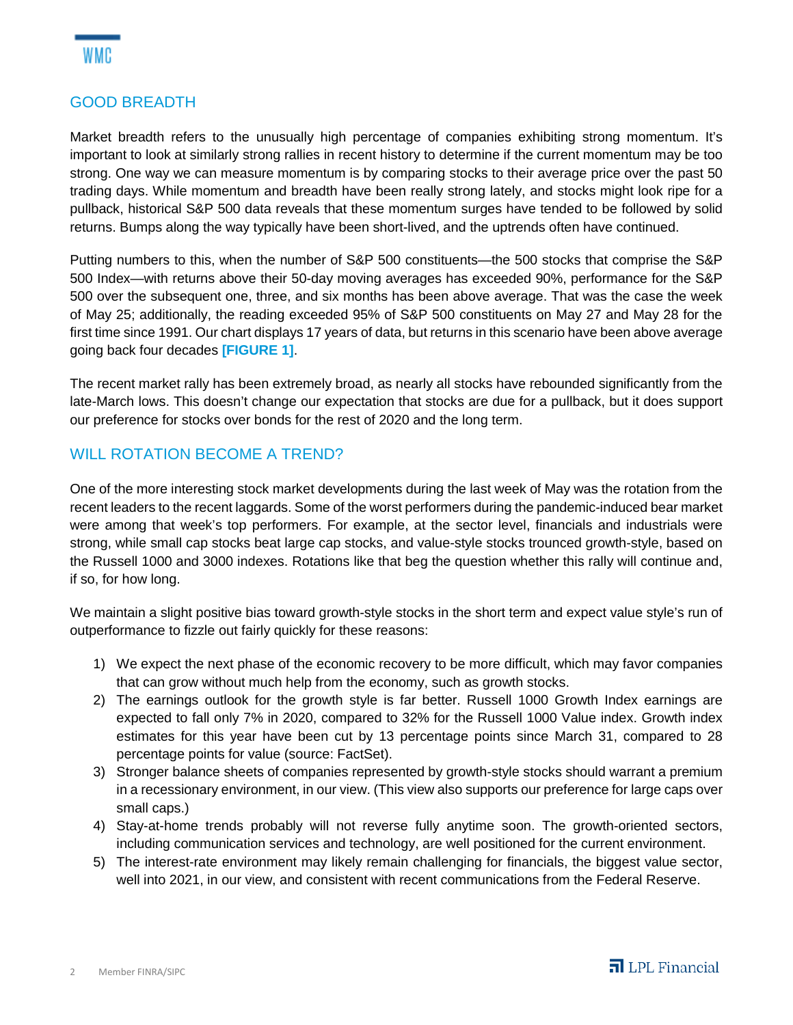

## GOOD BREADTH

Market breadth refers to the unusually high percentage of companies exhibiting strong momentum. It's important to look at similarly strong rallies in recent history to determine if the current momentum may be too strong. One way we can measure momentum is by comparing stocks to their average price over the past 50 trading days. While momentum and breadth have been really strong lately, and stocks might look ripe for a pullback, historical S&P 500 data reveals that these momentum surges have tended to be followed by solid returns. Bumps along the way typically have been short-lived, and the uptrends often have continued.

Putting numbers to this, when the number of S&P 500 constituents—the 500 stocks that comprise the S&P 500 Index—with returns above their 50-day moving averages has exceeded 90%, performance for the S&P 500 over the subsequent one, three, and six months has been above average. That was the case the week of May 25; additionally, the reading exceeded 95% of S&P 500 constituents on May 27 and May 28 for the first time since 1991. Our chart displays 17 years of data, but returns in this scenario have been above average going back four decades **[FIGURE 1]**.

The recent market rally has been extremely broad, as nearly all stocks have rebounded significantly from the late-March lows. This doesn't change our expectation that stocks are due for a pullback, but it does support our preference for stocks over bonds for the rest of 2020 and the long term.

### WILL ROTATION BECOME A TREND?

One of the more interesting stock market developments during the last week of May was the rotation from the recent leaders to the recent laggards. Some of the worst performers during the pandemic-induced bear market were among that week's top performers. For example, at the sector level, financials and industrials were strong, while small cap stocks beat large cap stocks, and value-style stocks trounced growth-style, based on the Russell 1000 and 3000 indexes. Rotations like that beg the question whether this rally will continue and, if so, for how long.

We maintain a slight positive bias toward growth-style stocks in the short term and expect value style's run of outperformance to fizzle out fairly quickly for these reasons:

- 1) We expect the next phase of the economic recovery to be more difficult, which may favor companies that can grow without much help from the economy, such as growth stocks.
- 2) The earnings outlook for the growth style is far better. Russell 1000 Growth Index earnings are expected to fall only 7% in 2020, compared to 32% for the Russell 1000 Value index. Growth index estimates for this year have been cut by 13 percentage points since March 31, compared to 28 percentage points for value (source: FactSet).
- 3) Stronger balance sheets of companies represented by growth-style stocks should warrant a premium in a recessionary environment, in our view. (This view also supports our preference for large caps over small caps.)
- 4) Stay-at-home trends probably will not reverse fully anytime soon. The growth-oriented sectors, including communication services and technology, are well positioned for the current environment.
- 5) The interest-rate environment may likely remain challenging for financials, the biggest value sector, well into 2021, in our view, and consistent with recent communications from the Federal Reserve.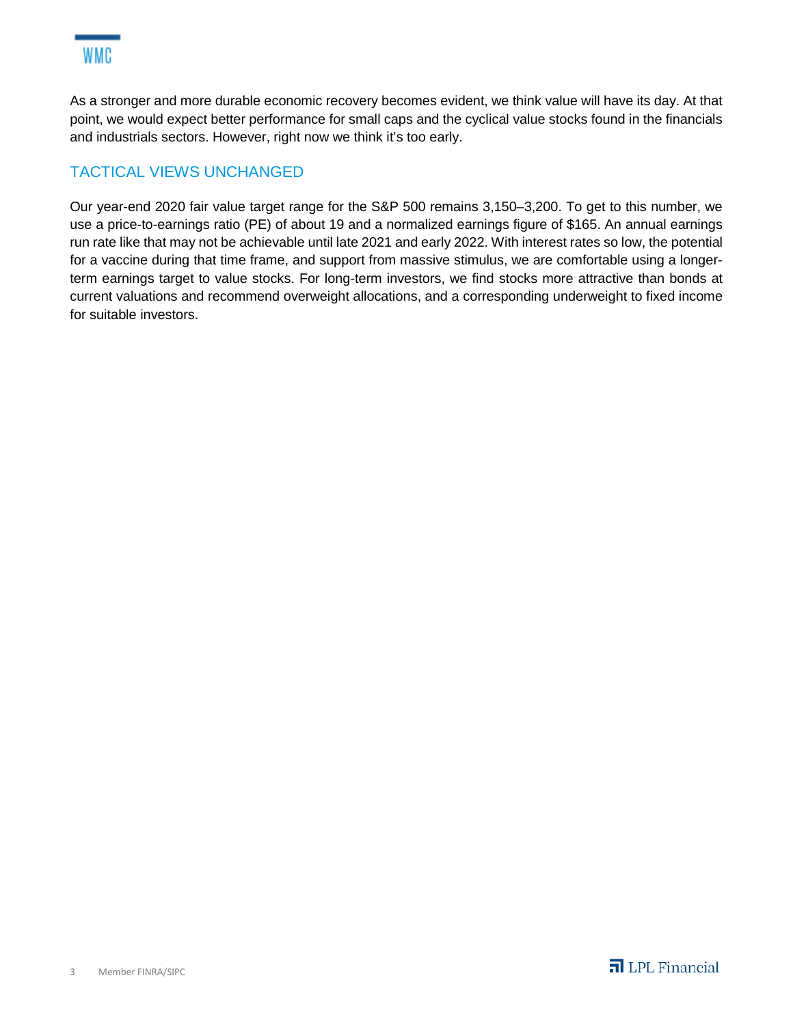As a stronger and more durable economic recovery becomes evident, we think value will have its day. At that point, we would expect better performance for small caps and the cyclical value stocks found in the financials and industrials sectors. However, right now we think it's too early.

# TACTICAL VIEWS UNCHANGED

Our year-end 2020 fair value target range for the S&P 500 remains 3,150–3,200. To get to this number, we use a price-to-earnings ratio (PE) of about 19 and a normalized earnings figure of \$165. An annual earnings run rate like that may not be achievable until late 2021 and early 2022. With interest rates so low, the potential for a vaccine during that time frame, and support from massive stimulus, we are comfortable using a longerterm earnings target to value stocks. For long-term investors, we find stocks more attractive than bonds at current valuations and recommend overweight allocations, and a corresponding underweight to fixed income for suitable investors.